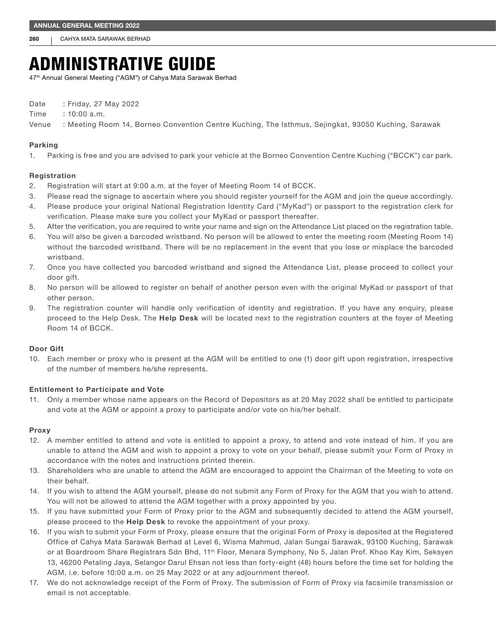260 CAHYA MATA SARAWAK BERHAD

# ADMINISTRATIVE GUIDE

47th Annual General Meeting ("AGM") of Cahya Mata Sarawak Berhad

Date : Friday, 27 May 2022

Time : 10:00 a.m.

Venue : Meeting Room 14, Borneo Convention Centre Kuching, The Isthmus, Sejingkat, 93050 Kuching, Sarawak

# Parking

1. Parking is free and you are advised to park your vehicle at the Borneo Convention Centre Kuching ("BCCK") car park.

# Registration

- 2. Registration will start at 9:00 a.m. at the foyer of Meeting Room 14 of BCCK.
- 3. Please read the signage to ascertain where you should register yourself for the AGM and join the queue accordingly.
- 4. Please produce your original National Registration Identity Card ("MyKad") or passport to the registration clerk for verification. Please make sure you collect your MyKad or passport thereafter.
- 5. After the verification, you are required to write your name and sign on the Attendance List placed on the registration table.
- 6. You will also be given a barcoded wristband. No person will be allowed to enter the meeting room (Meeting Room 14) without the barcoded wristband. There will be no replacement in the event that you lose or misplace the barcoded wristband.
- 7. Once you have collected you barcoded wristband and signed the Attendance List, please proceed to collect your door gift.
- 8. No person will be allowed to register on behalf of another person even with the original MyKad or passport of that other person.
- 9. The registration counter will handle only verification of identity and registration. If you have any enquiry, please proceed to the Help Desk. The Help Desk will be located next to the registration counters at the foyer of Meeting Room 14 of BCCK.

# Door Gift

10. Each member or proxy who is present at the AGM will be entitled to one (1) door gift upon registration, irrespective of the number of members he/she represents.

# Entitlement to Participate and Vote

11. Only a member whose name appears on the Record of Depositors as at 20 May 2022 shall be entitled to participate and vote at the AGM or appoint a proxy to participate and/or vote on his/her behalf.

## Proxy

- 12. A member entitled to attend and vote is entitled to appoint a proxy, to attend and vote instead of him. If you are unable to attend the AGM and wish to appoint a proxy to vote on your behalf, please submit your Form of Proxy in accordance with the notes and instructions printed therein.
- 13. Shareholders who are unable to attend the AGM are encouraged to appoint the Chairman of the Meeting to vote on their behalf.
- 14. If you wish to attend the AGM yourself, please do not submit any Form of Proxy for the AGM that you wish to attend. You will not be allowed to attend the AGM together with a proxy appointed by you.
- 15. If you have submitted your Form of Proxy prior to the AGM and subsequently decided to attend the AGM yourself, please proceed to the Help Desk to revoke the appointment of your proxy.
- 16. If you wish to submit your Form of Proxy, please ensure that the original Form of Proxy is deposited at the Registered Office of Cahya Mata Sarawak Berhad at Level 6, Wisma Mahmud, Jalan Sungai Sarawak, 93100 Kuching, Sarawak or at Boardroom Share Registrars Sdn Bhd, 11<sup>th</sup> Floor, Menara Symphony, No 5, Jalan Prof. Khoo Kay Kim, Seksyen 13, 46200 Petaling Jaya, Selangor Darul Ehsan not less than forty-eight (48) hours before the time set for holding the AGM, i.e. before 10:00 a.m. on 25 May 2022 or at any adjournment thereof.
- 17. We do not acknowledge receipt of the Form of Proxy. The submission of Form of Proxy via facsimile transmission or email is not acceptable.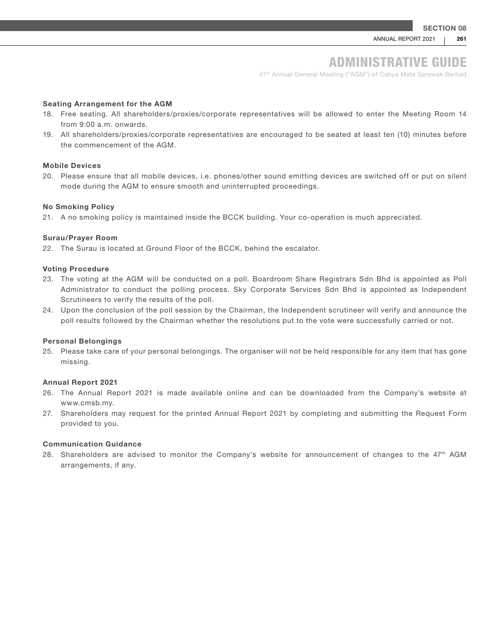# ADMINISTRATIVE GUIDE

47<sup>th</sup> Annual General Meeting ("AGM") of Cahya Mata Sarawak Berhad

#### Seating Arrangement for the AGM

- 18. Free seating. All shareholders/proxies/corporate representatives will be allowed to enter the Meeting Room 14 from 9:00 a.m. onwards.
- 19. All shareholders/proxies/corporate representatives are encouraged to be seated at least ten (10) minutes before the commencement of the AGM.

#### Mobile Devices

20. Please ensure that all mobile devices, i.e. phones/other sound emitting devices are switched off or put on silent mode during the AGM to ensure smooth and uninterrupted proceedings.

#### No Smoking Policy

21. A no smoking policy is maintained inside the BCCK building. Your co-operation is much appreciated.

#### Surau/Prayer Room

22. The Surau is located at Ground Floor of the BCCK, behind the escalator.

#### Voting Procedure

- 23. The voting at the AGM will be conducted on a poll. Boardroom Share Registrars Sdn Bhd is appointed as Poll Administrator to conduct the polling process. Sky Corporate Services Sdn Bhd is appointed as Independent Scrutineers to verify the results of the poll.
- 24. Upon the conclusion of the poll session by the Chairman, the Independent scrutineer will verify and announce the poll results followed by the Chairman whether the resolutions put to the vote were successfully carried or not.

#### Personal Belongings

25. Please take care of your personal belongings. The organiser will not be held responsible for any item that has gone missing.

#### Annual Report 2021

- 26. The Annual Report 2021 is made available online and can be downloaded from the Company's website at www.cmsb.my.
- 27. Shareholders may request for the printed Annual Report 2021 by completing and submitting the Request Form provided to you.

# Communication Guidance

28. Shareholders are advised to monitor the Company's website for announcement of changes to the 47th AGM arrangements, if any.